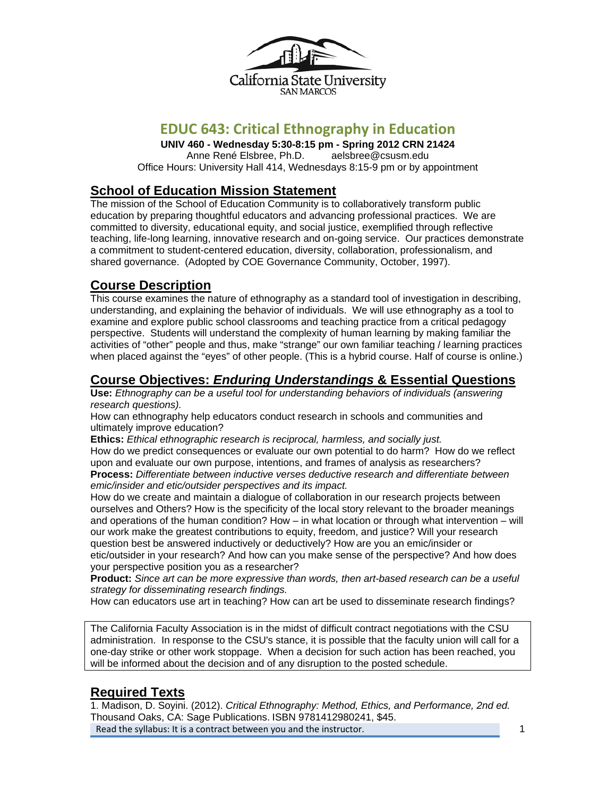

# **EDUC 643: Critical Ethnography in Education**

**UNIV 460 - Wednesday 5:30-8:15 pm - Spring 2012 CRN 21424**  Anne René Elsbree, Ph.D. aelsbree@csusm.edu Office Hours: University Hall 414, Wednesdays 8:15-9 pm or by appointment

# **School of Education Mission Statement**

The mission of the School of Education Community is to collaboratively transform public education by preparing thoughtful educators and advancing professional practices. We are committed to diversity, educational equity, and social justice, exemplified through reflective teaching, life-long learning, innovative research and on-going service. Our practices demonstrate a commitment to student-centered education, diversity, collaboration, professionalism, and shared governance. (Adopted by COE Governance Community, October, 1997).

# **Course Description**

This course examines the nature of ethnography as a standard tool of investigation in describing, understanding, and explaining the behavior of individuals. We will use ethnography as a tool to examine and explore public school classrooms and teaching practice from a critical pedagogy perspective. Students will understand the complexity of human learning by making familiar the activities of "other" people and thus, make "strange" our own familiar teaching / learning practices when placed against the "eyes" of other people. (This is a hybrid course. Half of course is online.)

# **Course Objectives:** *Enduring Understandings* **& Essential Questions**

**Use:** *Ethnography can be a useful tool for understanding behaviors of individuals (answering research questions).* 

How can ethnography help educators conduct research in schools and communities and ultimately improve education?

**Ethics:** *Ethical ethnographic research is reciprocal, harmless, and socially just.*  How do we predict consequences or evaluate our own potential to do harm? How do we reflect upon and evaluate our own purpose, intentions, and frames of analysis as researchers? **Process:** *Differentiate between inductive verses deductive research and differentiate between emic/insider and etic/outsider perspectives and its impact.* 

How do we create and maintain a dialogue of collaboration in our research projects between ourselves and Others? How is the specificity of the local story relevant to the broader meanings and operations of the human condition? How – in what location or through what intervention – will our work make the greatest contributions to equity, freedom, and justice? Will your research question best be answered inductively or deductively? How are you an emic/insider or etic/outsider in your research? And how can you make sense of the perspective? And how does your perspective position you as a researcher?

**Product:** *Since art can be more expressive than words, then art-based research can be a useful strategy for disseminating research findings.* 

How can educators use art in teaching? How can art be used to disseminate research findings?

The California Faculty Association is in the midst of difficult contract negotiations with the CSU administration. In response to the CSU's stance, it is possible that the faculty union will call for a one-day strike or other work stoppage. When a decision for such action has been reached, you will be informed about the decision and of any disruption to the posted schedule.

# **Required Texts**

 Read the syllabus: It is a contract between you and the instructor. 1  1. Madison, D. Soyini. (2012). *Critical Ethnography: Method, Ethics, and Performance, 2nd ed.*  Thousand Oaks, CA: Sage Publications. ISBN 9781412980241, \$45.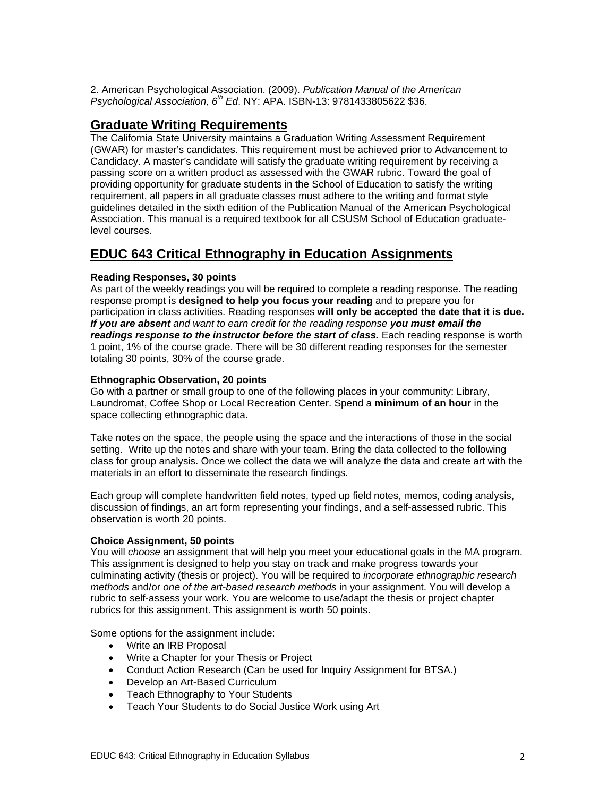2. American Psychological Association. (2009). *Publication Manual of the American Psychological Association, 6th Ed*. NY: APA. ISBN-13: 9781433805622 \$36.

### **Graduate Writing Requirements**

 level courses. The California State University maintains a Graduation Writing Assessment Requirement (GWAR) for master's candidates. This requirement must be achieved prior to Advancement to Candidacy. A master's candidate will satisfy the graduate writing requirement by receiving a passing score on a written product as assessed with the GWAR rubric. Toward the goal of providing opportunity for graduate students in the School of Education to satisfy the writing requirement, all papers in all graduate classes must adhere to the writing and format style guidelines detailed in the sixth edition of the Publication Manual of the American Psychological Association. This manual is a required textbook for all CSUSM School of Education graduate-

### **EDUC 643 Critical Ethnography in Education Assignments**

#### **Reading Responses, 30 points**

As part of the weekly readings you will be required to complete a reading response. The reading response prompt is **designed to help you focus your reading** and to prepare you for participation in class activities. Reading responses **will only be accepted the date that it is due.**  *If you are absent and want to earn credit for the reading response you must email the readings response to the instructor before the start of class.* Each reading response is worth 1 point, 1% of the course grade. There will be 30 different reading responses for the semester totaling 30 points, 30% of the course grade.

#### **Ethnographic Observation, 20 points**

Go with a partner or small group to one of the following places in your community: Library, Laundromat, Coffee Shop or Local Recreation Center. Spend a **minimum of an hour** in the space collecting ethnographic data.

Take notes on the space, the people using the space and the interactions of those in the social setting. Write up the notes and share with your team. Bring the data collected to the following class for group analysis. Once we collect the data we will analyze the data and create art with the materials in an effort to disseminate the research findings.

Each group will complete handwritten field notes, typed up field notes, memos, coding analysis, discussion of findings, an art form representing your findings, and a self-assessed rubric. This observation is worth 20 points.

#### **Choice Assignment, 50 points**

You will *choose* an assignment that will help you meet your educational goals in the MA program. This assignment is designed to help you stay on track and make progress towards your culminating activity (thesis or project). You will be required to *incorporate ethnographic research methods* and/or *one of the art-based research methods* in your assignment. You will develop a rubric to self-assess your work. You are welcome to use/adapt the thesis or project chapter rubrics for this assignment. This assignment is worth 50 points.

Some options for the assignment include:

- Write an IRB Proposal
- Write a Chapter for your Thesis or Project
- Conduct Action Research (Can be used for Inquiry Assignment for BTSA.)
- Develop an Art-Based Curriculum
- Teach Ethnography to Your Students
- Teach Your Students to do Social Justice Work using Art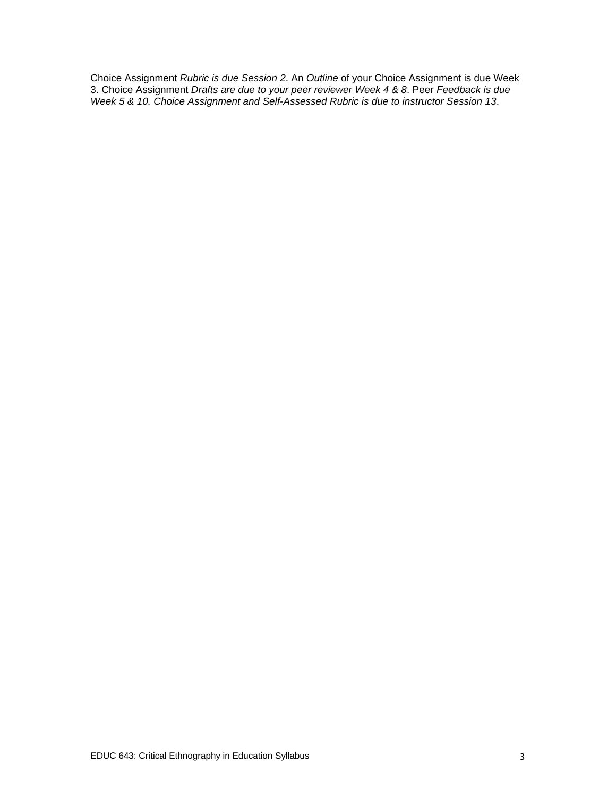Choice Assignment *Rubric is due Session 2*. An *Outline* of your Choice Assignment is due Week 3. Choice Assignment *Drafts are due to your peer reviewer Week 4 & 8*. Peer *Feedback is due Week 5 & 10. Choice Assignment and Self-Assessed Rubric is due to instructor Session 13*.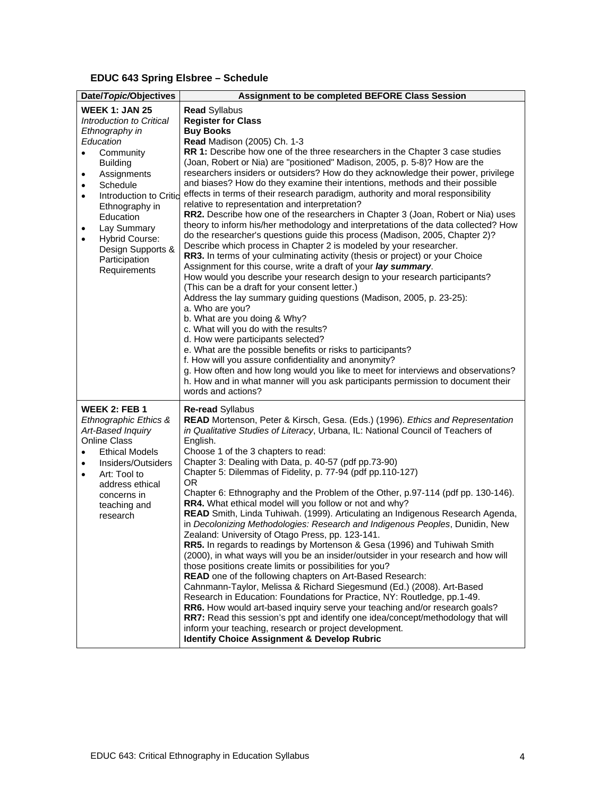#### **EDUC 643 Spring Elsbree – Schedule**

| Date/Topic/Objectives                                                                                                                                                                                                                                                                                                                                                    | Assignment to be completed BEFORE Class Session                                                                                                                                                                                                                                                                                                                                                                                                                                                                                                                                                                                                                                                                                                                                                                                                                                                                                                                                                                                                                                                                                                                                                                                                                                                                                                                                                                                                                                                                                                                                                                                                                                                                                           |
|--------------------------------------------------------------------------------------------------------------------------------------------------------------------------------------------------------------------------------------------------------------------------------------------------------------------------------------------------------------------------|-------------------------------------------------------------------------------------------------------------------------------------------------------------------------------------------------------------------------------------------------------------------------------------------------------------------------------------------------------------------------------------------------------------------------------------------------------------------------------------------------------------------------------------------------------------------------------------------------------------------------------------------------------------------------------------------------------------------------------------------------------------------------------------------------------------------------------------------------------------------------------------------------------------------------------------------------------------------------------------------------------------------------------------------------------------------------------------------------------------------------------------------------------------------------------------------------------------------------------------------------------------------------------------------------------------------------------------------------------------------------------------------------------------------------------------------------------------------------------------------------------------------------------------------------------------------------------------------------------------------------------------------------------------------------------------------------------------------------------------------|
| <b>WEEK 1: JAN 25</b><br>Introduction to Critical<br>Ethnography in<br>Education<br>Community<br>$\bullet$<br><b>Building</b><br>Assignments<br>$\bullet$<br>Schedule<br>$\bullet$<br>Introduction to Critio<br>$\bullet$<br>Ethnography in<br>Education<br>Lay Summary<br>$\bullet$<br><b>Hybrid Course:</b><br>٠<br>Design Supports &<br>Participation<br>Requirements | <b>Read Syllabus</b><br><b>Register for Class</b><br><b>Buy Books</b><br><b>Read Madison (2005) Ch. 1-3</b><br>RR 1: Describe how one of the three researchers in the Chapter 3 case studies<br>(Joan, Robert or Nia) are "positioned" Madison, 2005, p. 5-8)? How are the<br>researchers insiders or outsiders? How do they acknowledge their power, privilege<br>and biases? How do they examine their intentions, methods and their possible<br>effects in terms of their research paradigm, authority and moral responsibility<br>relative to representation and interpretation?<br>RR2. Describe how one of the researchers in Chapter 3 (Joan, Robert or Nia) uses<br>theory to inform his/her methodology and interpretations of the data collected? How<br>do the researcher's questions guide this process (Madison, 2005, Chapter 2)?<br>Describe which process in Chapter 2 is modeled by your researcher.<br>RR3. In terms of your culminating activity (thesis or project) or your Choice<br>Assignment for this course, write a draft of your lay summary.<br>How would you describe your research design to your research participants?<br>(This can be a draft for your consent letter.)<br>Address the lay summary guiding questions (Madison, 2005, p. 23-25):<br>a. Who are you?<br>b. What are you doing & Why?<br>c. What will you do with the results?<br>d. How were participants selected?<br>e. What are the possible benefits or risks to participants?<br>f. How will you assure confidentiality and anonymity?<br>g. How often and how long would you like to meet for interviews and observations?<br>h. How and in what manner will you ask participants permission to document their<br>words and actions? |
| <b>WEEK 2: FEB 1</b><br>Ethnographic Ethics &<br>Art-Based Inquiry<br><b>Online Class</b><br><b>Ethical Models</b><br>$\bullet$<br>Insiders/Outsiders<br>Art: Tool to<br>$\bullet$<br>address ethical<br>concerns in<br>teaching and<br>research                                                                                                                         | Re-read Syllabus<br>READ Mortenson, Peter & Kirsch, Gesa. (Eds.) (1996). Ethics and Representation<br>in Qualitative Studies of Literacy, Urbana, IL: National Council of Teachers of<br>English.<br>Choose 1 of the 3 chapters to read:<br>Chapter 3: Dealing with Data, p. 40-57 (pdf pp.73-90)<br>Chapter 5: Dilemmas of Fidelity, p. 77-94 (pdf pp.110-127)<br>0R<br>Chapter 6: Ethnography and the Problem of the Other, p.97-114 (pdf pp. 130-146).<br>RR4. What ethical model will you follow or not and why?<br>READ Smith, Linda Tuhiwah. (1999). Articulating an Indigenous Research Agenda,<br>in Decolonizing Methodologies: Research and Indigenous Peoples, Dunidin, New<br>Zealand: University of Otago Press, pp. 123-141.<br>RR5. In regards to readings by Mortenson & Gesa (1996) and Tuhiwah Smith<br>(2000), in what ways will you be an insider/outsider in your research and how will<br>those positions create limits or possibilities for you?<br>READ one of the following chapters on Art-Based Research:<br>Cahnmann-Taylor, Melissa & Richard Siegesmund (Ed.) (2008). Art-Based<br>Research in Education: Foundations for Practice, NY: Routledge, pp.1-49.<br>RR6. How would art-based inquiry serve your teaching and/or research goals?<br>RR7: Read this session's ppt and identify one idea/concept/methodology that will<br>inform your teaching, research or project development.<br><b>Identify Choice Assignment &amp; Develop Rubric</b>                                                                                                                                                                                                                                                          |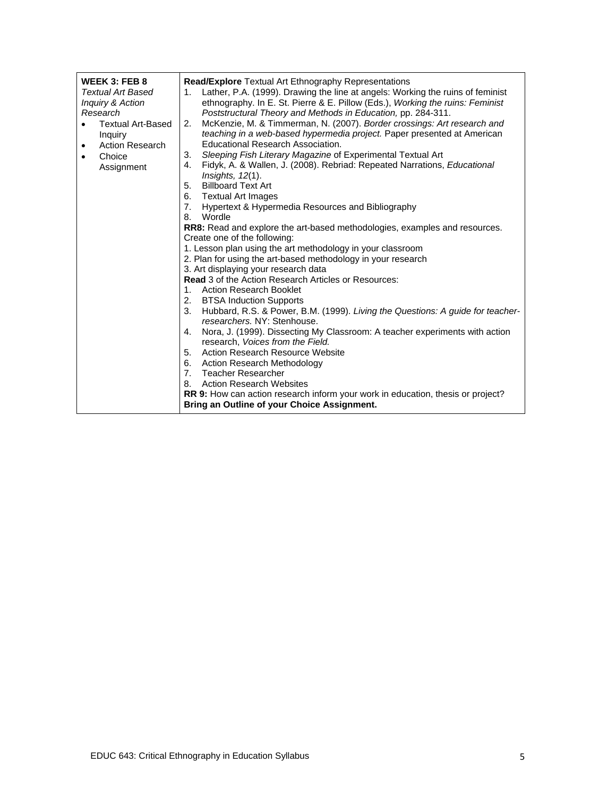| WEEK 3: FEB 8                       | <b>Read/Explore</b> Textual Art Ethnography Representations                                                                                   |
|-------------------------------------|-----------------------------------------------------------------------------------------------------------------------------------------------|
| Textual Art Based                   | 1. Lather, P.A. (1999). Drawing the line at angels: Working the ruins of feminist                                                             |
| Inquiry & Action<br>Research        | ethnography. In E. St. Pierre & E. Pillow (Eds.), Working the ruins: Feminist<br>Poststructural Theory and Methods in Education, pp. 284-311. |
| <b>Textual Art-Based</b>            | McKenzie, M. & Timmerman, N. (2007). Border crossings: Art research and<br>2.                                                                 |
| Inquiry                             | teaching in a web-based hypermedia project. Paper presented at American                                                                       |
| <b>Action Research</b><br>$\bullet$ | Educational Research Association.                                                                                                             |
| Choice<br>$\bullet$                 | Sleeping Fish Literary Magazine of Experimental Textual Art<br>3.                                                                             |
| Assignment                          | 4. Fidyk, A. & Wallen, J. (2008). Rebriad: Repeated Narrations, <i>Educational</i>                                                            |
|                                     | Insights, 12(1).                                                                                                                              |
|                                     | <b>Billboard Text Art</b><br>5.                                                                                                               |
|                                     | 6. Textual Art Images                                                                                                                         |
|                                     | 7. Hypertext & Hypermedia Resources and Bibliography                                                                                          |
|                                     | Wordle<br>8.                                                                                                                                  |
|                                     | <b>RR8:</b> Read and explore the art-based methodologies, examples and resources.                                                             |
|                                     | Create one of the following:                                                                                                                  |
|                                     | 1. Lesson plan using the art methodology in your classroom<br>2. Plan for using the art-based methodology in your research                    |
|                                     | 3. Art displaying your research data                                                                                                          |
|                                     | <b>Read</b> 3 of the Action Research Articles or Resources:                                                                                   |
|                                     | 1. Action Research Booklet                                                                                                                    |
|                                     | 2. BTSA Induction Supports                                                                                                                    |
|                                     | 3. Hubbard, R.S. & Power, B.M. (1999). Living the Questions: A guide for teacher-<br>researchers. NY: Stenhouse.                              |
|                                     | 4. Nora, J. (1999). Dissecting My Classroom: A teacher experiments with action<br>research, Voices from the Field.                            |
|                                     | 5. Action Research Resource Website                                                                                                           |
|                                     | 6. Action Research Methodology                                                                                                                |
|                                     | 7. Teacher Researcher                                                                                                                         |
|                                     | 8. Action Research Websites                                                                                                                   |
|                                     | RR 9: How can action research inform your work in education, thesis or project?                                                               |
|                                     | Bring an Outline of your Choice Assignment.                                                                                                   |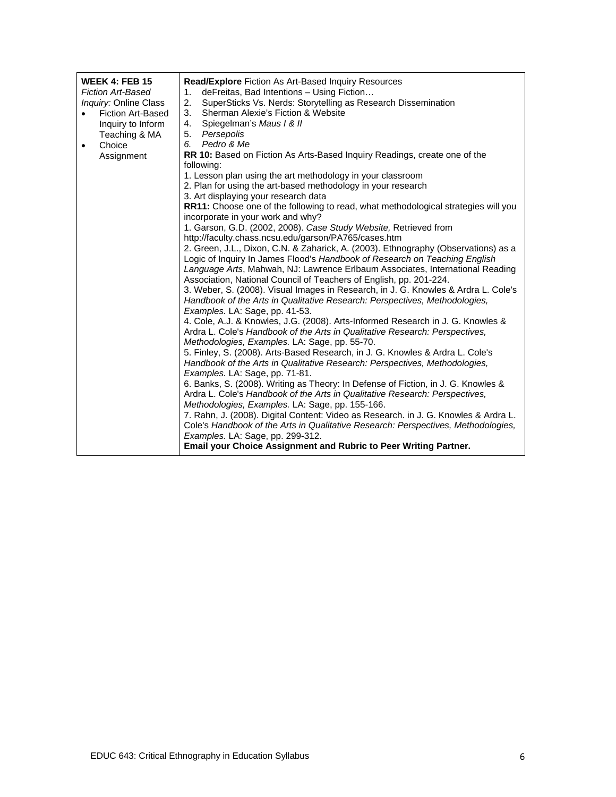| <b>WEEK 4: FEB 15</b>        | <b>Read/Explore</b> Fiction As Art-Based Inquiry Resources                                                                                               |
|------------------------------|----------------------------------------------------------------------------------------------------------------------------------------------------------|
| <b>Fiction Art-Based</b>     | deFreitas, Bad Intentions - Using Fiction<br>1.                                                                                                          |
| <i>Inquiry:</i> Online Class | 2.<br>SuperSticks Vs. Nerds: Storytelling as Research Dissemination                                                                                      |
| <b>Fiction Art-Based</b>     | 3.<br>Sherman Alexie's Fiction & Website                                                                                                                 |
| Inquiry to Inform            | Spiegelman's Maus / & //<br>4.                                                                                                                           |
| Teaching & MA                | 5. Persepolis                                                                                                                                            |
| Choice<br>$\bullet$          | 6. Pedro & Me                                                                                                                                            |
| Assignment                   | RR 10: Based on Fiction As Arts-Based Inquiry Readings, create one of the<br>following:                                                                  |
|                              | 1. Lesson plan using the art methodology in your classroom                                                                                               |
|                              | 2. Plan for using the art-based methodology in your research                                                                                             |
|                              | 3. Art displaying your research data                                                                                                                     |
|                              | RR11: Choose one of the following to read, what methodological strategies will you                                                                       |
|                              | incorporate in your work and why?                                                                                                                        |
|                              | 1. Garson, G.D. (2002, 2008). Case Study Website, Retrieved from                                                                                         |
|                              | http://faculty.chass.ncsu.edu/garson/PA765/cases.htm                                                                                                     |
|                              | 2. Green, J.L., Dixon, C.N. & Zaharick, A. (2003). Ethnography (Observations) as a                                                                       |
|                              | Logic of Inquiry In James Flood's Handbook of Research on Teaching English                                                                               |
|                              | Language Arts, Mahwah, NJ: Lawrence Erlbaum Associates, International Reading                                                                            |
|                              | Association, National Council of Teachers of English, pp. 201-224.<br>3. Weber, S. (2008). Visual Images in Research, in J. G. Knowles & Ardra L. Cole's |
|                              | Handbook of the Arts in Qualitative Research: Perspectives, Methodologies,                                                                               |
|                              | Examples. LA: Sage, pp. 41-53.                                                                                                                           |
|                              | 4. Cole, A.J. & Knowles, J.G. (2008). Arts-Informed Research in J. G. Knowles &                                                                          |
|                              | Ardra L. Cole's Handbook of the Arts in Qualitative Research: Perspectives,                                                                              |
|                              | Methodologies, Examples. LA: Sage, pp. 55-70.                                                                                                            |
|                              | 5. Finley, S. (2008). Arts-Based Research, in J. G. Knowles & Ardra L. Cole's                                                                            |
|                              | Handbook of the Arts in Qualitative Research: Perspectives, Methodologies,                                                                               |
|                              | Examples. LA: Sage, pp. 71-81.                                                                                                                           |
|                              | 6. Banks, S. (2008). Writing as Theory: In Defense of Fiction, in J. G. Knowles &                                                                        |
|                              | Ardra L. Cole's Handbook of the Arts in Qualitative Research: Perspectives,                                                                              |
|                              | Methodologies, Examples. LA: Sage, pp. 155-166.                                                                                                          |
|                              | 7. Rahn, J. (2008). Digital Content: Video as Research. in J. G. Knowles & Ardra L.                                                                      |
|                              | Cole's Handbook of the Arts in Qualitative Research: Perspectives, Methodologies,                                                                        |
|                              | Examples. LA: Sage, pp. 299-312.<br>Email your Choice Assignment and Rubric to Peer Writing Partner.                                                     |
|                              |                                                                                                                                                          |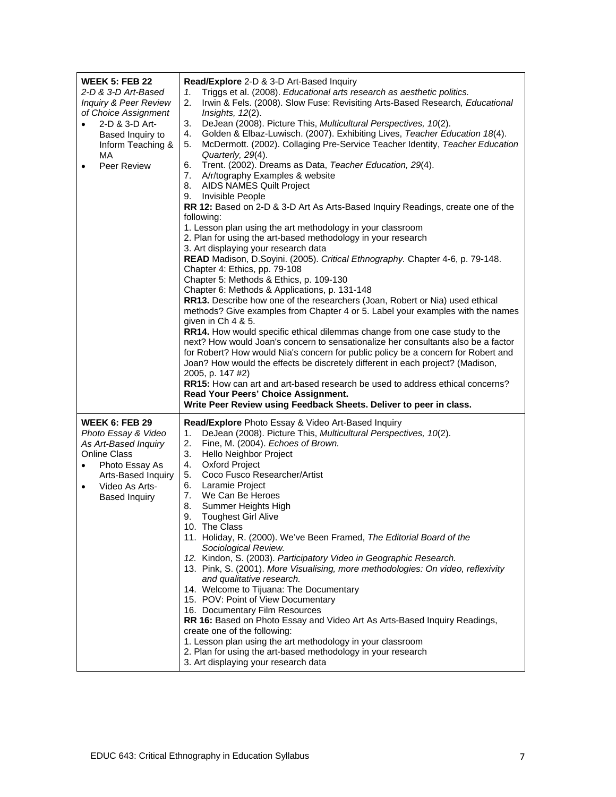| <b>WEEK 5: FEB 22</b><br>2-D & 3-D Art-Based<br><b>Inquiry &amp; Peer Review</b><br>of Choice Assignment<br>2-D & 3-D Art-<br>$\bullet$<br>Based Inquiry to<br>Inform Teaching &<br>MA<br>Peer Review<br>$\bullet$ | Read/Explore 2-D & 3-D Art-Based Inquiry<br>Triggs et al. (2008). Educational arts research as aesthetic politics.<br>1.<br>Irwin & Fels. (2008). Slow Fuse: Revisiting Arts-Based Research, Educational<br>2.<br>Insights, $12(2)$ .<br>3.<br>DeJean (2008). Picture This, Multicultural Perspectives, 10(2).<br>Golden & Elbaz-Luwisch. (2007). Exhibiting Lives, Teacher Education 18(4).<br>4.<br>McDermott. (2002). Collaging Pre-Service Teacher Identity, Teacher Education<br>5.<br>Quarterly, 29(4).<br>Trent. (2002). Dreams as Data, Teacher Education, 29(4).<br>6.<br>7. A/r/tography Examples & website<br>8. AIDS NAMES Quilt Project<br>Invisible People<br>9.<br>RR 12: Based on 2-D & 3-D Art As Arts-Based Inquiry Readings, create one of the<br>following:<br>1. Lesson plan using the art methodology in your classroom<br>2. Plan for using the art-based methodology in your research<br>3. Art displaying your research data<br>READ Madison, D.Soyini. (2005). Critical Ethnography. Chapter 4-6, p. 79-148.<br>Chapter 4: Ethics, pp. 79-108<br>Chapter 5: Methods & Ethics, p. 109-130<br>Chapter 6: Methods & Applications, p. 131-148<br>RR13. Describe how one of the researchers (Joan, Robert or Nia) used ethical<br>methods? Give examples from Chapter 4 or 5. Label your examples with the names<br>given in Ch 4 & 5.<br><b>RR14.</b> How would specific ethical dilemmas change from one case study to the<br>next? How would Joan's concern to sensationalize her consultants also be a factor<br>for Robert? How would Nia's concern for public policy be a concern for Robert and<br>Joan? How would the effects be discretely different in each project? (Madison,<br>2005, p. 147 #2)<br>RR15: How can art and art-based research be used to address ethical concerns?<br>Read Your Peers' Choice Assignment.<br>Write Peer Review using Feedback Sheets. Deliver to peer in class. |
|--------------------------------------------------------------------------------------------------------------------------------------------------------------------------------------------------------------------|---------------------------------------------------------------------------------------------------------------------------------------------------------------------------------------------------------------------------------------------------------------------------------------------------------------------------------------------------------------------------------------------------------------------------------------------------------------------------------------------------------------------------------------------------------------------------------------------------------------------------------------------------------------------------------------------------------------------------------------------------------------------------------------------------------------------------------------------------------------------------------------------------------------------------------------------------------------------------------------------------------------------------------------------------------------------------------------------------------------------------------------------------------------------------------------------------------------------------------------------------------------------------------------------------------------------------------------------------------------------------------------------------------------------------------------------------------------------------------------------------------------------------------------------------------------------------------------------------------------------------------------------------------------------------------------------------------------------------------------------------------------------------------------------------------------------------------------------------------------------------------------------------------------------------------|
| <b>WEEK 6: FEB 29</b><br>Photo Essay & Video<br>As Art-Based Inquiry<br><b>Online Class</b><br>Photo Essay As<br>$\bullet$<br>Arts-Based Inquiry<br>Video As Arts-<br>$\bullet$<br><b>Based Inquiry</b>            | <b>Read/Explore</b> Photo Essay & Video Art-Based Inquiry<br>DeJean (2008). Picture This, Multicultural Perspectives, 10(2).<br>1.<br>2.<br>Fine, M. (2004). Echoes of Brown.<br>3.<br>Hello Neighbor Project<br>4. Oxford Project<br>5. Coco Fusco Researcher/Artist<br>6. Laramie Project<br>7. We Can Be Heroes<br>8. Summer Heights High<br>9.<br><b>Toughest Girl Alive</b><br>10. The Class<br>11. Holiday, R. (2000). We've Been Framed, The Editorial Board of the<br>Sociological Review.<br>12. Kindon, S. (2003). Participatory Video in Geographic Research.<br>13. Pink, S. (2001). More Visualising, more methodologies: On video, reflexivity<br>and qualitative research.<br>14. Welcome to Tijuana: The Documentary<br>15. POV: Point of View Documentary<br>16. Documentary Film Resources<br>RR 16: Based on Photo Essay and Video Art As Arts-Based Inquiry Readings,<br>create one of the following:<br>1. Lesson plan using the art methodology in your classroom<br>2. Plan for using the art-based methodology in your research<br>3. Art displaying your research data                                                                                                                                                                                                                                                                                                                                                                                                                                                                                                                                                                                                                                                                                                                                                                                                                                 |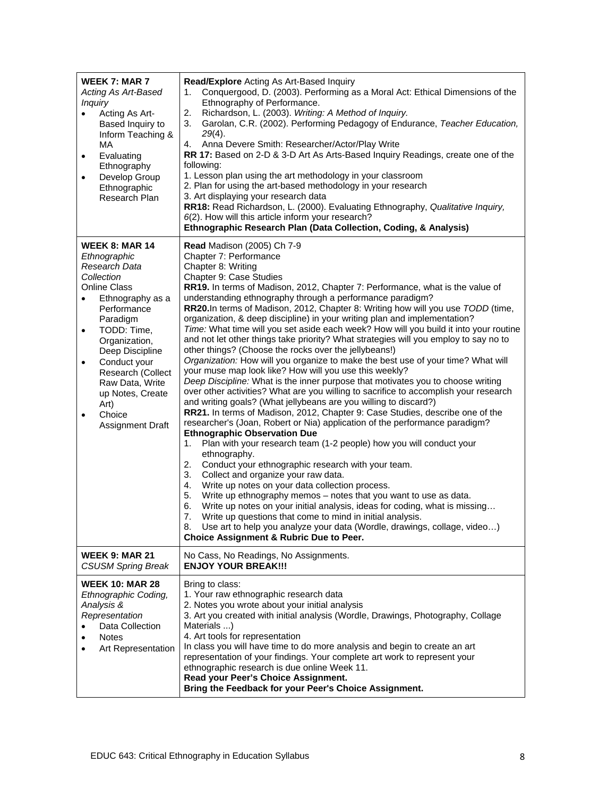| <b>WEEK 7: MAR 7</b><br>Acting As Art-Based<br><i>Inquiry</i><br>Acting As Art-<br>$\bullet$<br>Based Inquiry to<br>Inform Teaching &<br>МA<br>Evaluating<br>$\bullet$<br>Ethnography<br>Develop Group<br>Ethnographic<br>Research Plan                                                                                                                | Read/Explore Acting As Art-Based Inquiry<br>Conquergood, D. (2003). Performing as a Moral Act: Ethical Dimensions of the<br>1.<br>Ethnography of Performance.<br>2.<br>Richardson, L. (2003). Writing: A Method of Inquiry.<br>Garolan, C.R. (2002). Performing Pedagogy of Endurance, Teacher Education,<br>3.<br>$29(4)$ .<br>4. Anna Devere Smith: Researcher/Actor/Play Write<br>RR 17: Based on 2-D & 3-D Art As Arts-Based Inquiry Readings, create one of the<br>following:<br>1. Lesson plan using the art methodology in your classroom<br>2. Plan for using the art-based methodology in your research<br>3. Art displaying your research data<br>RR18: Read Richardson, L. (2000). Evaluating Ethnography, Qualitative Inquiry,<br>6(2). How will this article inform your research?<br>Ethnographic Research Plan (Data Collection, Coding, & Analysis)                                                                                                                                                                                                                                                                                                                                                                                                                                                                                                                                                                                                                                                                                                                                                                                                                                                                                                                                                                                                                                              |
|--------------------------------------------------------------------------------------------------------------------------------------------------------------------------------------------------------------------------------------------------------------------------------------------------------------------------------------------------------|------------------------------------------------------------------------------------------------------------------------------------------------------------------------------------------------------------------------------------------------------------------------------------------------------------------------------------------------------------------------------------------------------------------------------------------------------------------------------------------------------------------------------------------------------------------------------------------------------------------------------------------------------------------------------------------------------------------------------------------------------------------------------------------------------------------------------------------------------------------------------------------------------------------------------------------------------------------------------------------------------------------------------------------------------------------------------------------------------------------------------------------------------------------------------------------------------------------------------------------------------------------------------------------------------------------------------------------------------------------------------------------------------------------------------------------------------------------------------------------------------------------------------------------------------------------------------------------------------------------------------------------------------------------------------------------------------------------------------------------------------------------------------------------------------------------------------------------------------------------------------------------------------------------|
| <b>WEEK 8: MAR 14</b><br>Ethnographic<br>Research Data<br>Collection<br><b>Online Class</b><br>Ethnography as a<br>Performance<br>Paradigm<br>TODD: Time,<br>$\bullet$<br>Organization,<br>Deep Discipline<br>Conduct your<br>$\bullet$<br>Research (Collect<br>Raw Data, Write<br>up Notes, Create<br>Art)<br>Choice<br>$\bullet$<br>Assignment Draft | <b>Read Madison (2005) Ch 7-9</b><br>Chapter 7: Performance<br>Chapter 8: Writing<br>Chapter 9: Case Studies<br>RR19. In terms of Madison, 2012, Chapter 7: Performance, what is the value of<br>understanding ethnography through a performance paradigm?<br>RR20.In terms of Madison, 2012, Chapter 8: Writing how will you use TODD (time,<br>organization, & deep discipline) in your writing plan and implementation?<br>Time: What time will you set aside each week? How will you build it into your routine<br>and not let other things take priority? What strategies will you employ to say no to<br>other things? (Choose the rocks over the jellybeans!)<br>Organization: How will you organize to make the best use of your time? What will<br>your muse map look like? How will you use this weekly?<br>Deep Discipline: What is the inner purpose that motivates you to choose writing<br>over other activities? What are you willing to sacrifice to accomplish your research<br>and writing goals? (What jellybeans are you willing to discard?)<br>RR21. In terms of Madison, 2012, Chapter 9: Case Studies, describe one of the<br>researcher's (Joan, Robert or Nia) application of the performance paradigm?<br><b>Ethnographic Observation Due</b><br>Plan with your research team (1-2 people) how you will conduct your<br>1.<br>ethnography.<br>2.<br>Conduct your ethnographic research with your team.<br>Collect and organize your raw data.<br>3.<br>Write up notes on your data collection process.<br>4.<br>Write up ethnography memos - notes that you want to use as data.<br>5.<br>Write up notes on your initial analysis, ideas for coding, what is missing<br>6.<br>Write up questions that come to mind in initial analysis.<br>7.<br>8.<br>Use art to help you analyze your data (Wordle, drawings, collage, video)<br><b>Choice Assignment &amp; Rubric Due to Peer.</b> |
| <b>WEEK 9: MAR 21</b><br><b>CSUSM Spring Break</b>                                                                                                                                                                                                                                                                                                     | No Cass, No Readings, No Assignments.<br><b>ENJOY YOUR BREAK!!!</b>                                                                                                                                                                                                                                                                                                                                                                                                                                                                                                                                                                                                                                                                                                                                                                                                                                                                                                                                                                                                                                                                                                                                                                                                                                                                                                                                                                                                                                                                                                                                                                                                                                                                                                                                                                                                                                              |
| <b>WEEK 10: MAR 28</b><br>Ethnographic Coding,<br>Analysis &<br>Representation<br>Data Collection<br><b>Notes</b><br>Art Representation                                                                                                                                                                                                                | Bring to class:<br>1. Your raw ethnographic research data<br>2. Notes you wrote about your initial analysis<br>3. Art you created with initial analysis (Wordle, Drawings, Photography, Collage<br>Materials )<br>4. Art tools for representation<br>In class you will have time to do more analysis and begin to create an art<br>representation of your findings. Your complete art work to represent your<br>ethnographic research is due online Week 11.<br>Read your Peer's Choice Assignment.<br>Bring the Feedback for your Peer's Choice Assignment.                                                                                                                                                                                                                                                                                                                                                                                                                                                                                                                                                                                                                                                                                                                                                                                                                                                                                                                                                                                                                                                                                                                                                                                                                                                                                                                                                     |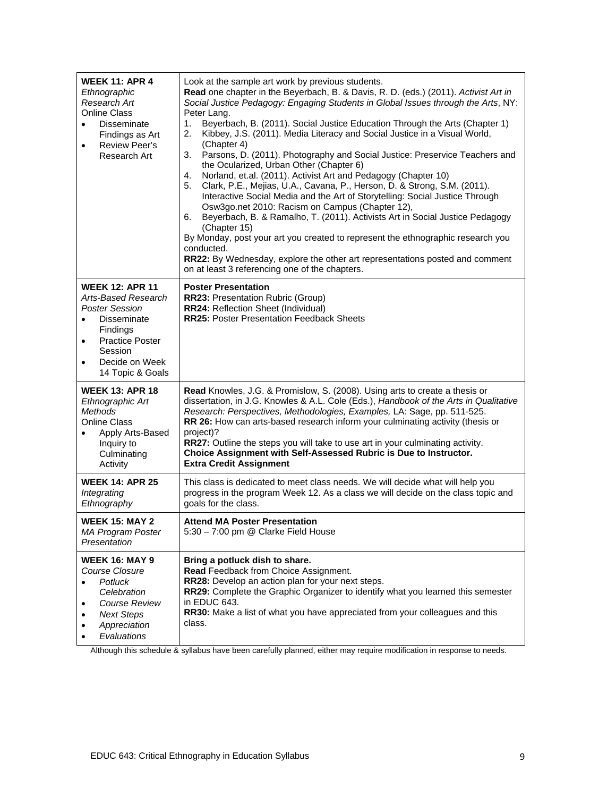| <b>WEEK 11: APR 4</b><br>Ethnographic<br>Research Art<br><b>Online Class</b><br><b>Disseminate</b><br>$\bullet$<br>Findings as Art<br><b>Review Peer's</b><br>$\bullet$<br>Research Art                       | Look at the sample art work by previous students.<br>Read one chapter in the Beyerbach, B. & Davis, R. D. (eds.) (2011). Activist Art in<br>Social Justice Pedagogy: Engaging Students in Global Issues through the Arts, NY:<br>Peter Lang.<br>Beyerbach, B. (2011). Social Justice Education Through the Arts (Chapter 1)<br>1.<br>Kibbey, J.S. (2011). Media Literacy and Social Justice in a Visual World,<br>2.<br>(Chapter 4)<br>3.<br>Parsons, D. (2011). Photography and Social Justice: Preservice Teachers and<br>the Ocularized, Urban Other (Chapter 6)<br>Norland, et.al. (2011). Activist Art and Pedagogy (Chapter 10)<br>4.<br>Clark, P.E., Mejias, U.A., Cavana, P., Herson, D. & Strong, S.M. (2011).<br>5.<br>Interactive Social Media and the Art of Storytelling: Social Justice Through<br>Osw3go.net 2010: Racism on Campus (Chapter 12),<br>Beyerbach, B. & Ramalho, T. (2011). Activists Art in Social Justice Pedagogy<br>6.<br>(Chapter 15)<br>By Monday, post your art you created to represent the ethnographic research you<br>conducted.<br>RR22: By Wednesday, explore the other art representations posted and comment<br>on at least 3 referencing one of the chapters. |
|---------------------------------------------------------------------------------------------------------------------------------------------------------------------------------------------------------------|-----------------------------------------------------------------------------------------------------------------------------------------------------------------------------------------------------------------------------------------------------------------------------------------------------------------------------------------------------------------------------------------------------------------------------------------------------------------------------------------------------------------------------------------------------------------------------------------------------------------------------------------------------------------------------------------------------------------------------------------------------------------------------------------------------------------------------------------------------------------------------------------------------------------------------------------------------------------------------------------------------------------------------------------------------------------------------------------------------------------------------------------------------------------------------------------------------------|
| <b>WEEK 12: APR 11</b><br>Arts-Based Research<br><b>Poster Session</b><br><b>Disseminate</b><br>Findings<br><b>Practice Poster</b><br>$\bullet$<br>Session<br>Decide on Week<br>$\bullet$<br>14 Topic & Goals | <b>Poster Presentation</b><br><b>RR23: Presentation Rubric (Group)</b><br>RR24: Reflection Sheet (Individual)<br><b>RR25: Poster Presentation Feedback Sheets</b>                                                                                                                                                                                                                                                                                                                                                                                                                                                                                                                                                                                                                                                                                                                                                                                                                                                                                                                                                                                                                                         |
| <b>WEEK 13: APR 18</b><br>Ethnographic Art<br><b>Methods</b><br><b>Online Class</b><br>Apply Arts-Based<br>Inquiry to<br>Culminating<br>Activity                                                              | Read Knowles, J.G. & Promislow, S. (2008). Using arts to create a thesis or<br>dissertation, in J.G. Knowles & A.L. Cole (Eds.), Handbook of the Arts in Qualitative<br>Research: Perspectives, Methodologies, Examples, LA: Sage, pp. 511-525.<br>RR 26: How can arts-based research inform your culminating activity (thesis or<br>project)?<br><b>RR27:</b> Outline the steps you will take to use art in your culminating activity.<br>Choice Assignment with Self-Assessed Rubric is Due to Instructor.<br><b>Extra Credit Assignment</b>                                                                                                                                                                                                                                                                                                                                                                                                                                                                                                                                                                                                                                                            |
| <b>WEEK 14: APR 25</b><br>Integrating<br>Ethnography                                                                                                                                                          | This class is dedicated to meet class needs. We will decide what will help you<br>progress in the program Week 12. As a class we will decide on the class topic and<br>goals for the class.                                                                                                                                                                                                                                                                                                                                                                                                                                                                                                                                                                                                                                                                                                                                                                                                                                                                                                                                                                                                               |
| <b>WEEK 15: MAY 2</b><br><b>MA Program Poster</b><br>Presentation                                                                                                                                             | <b>Attend MA Poster Presentation</b><br>5:30 - 7:00 pm @ Clarke Field House                                                                                                                                                                                                                                                                                                                                                                                                                                                                                                                                                                                                                                                                                                                                                                                                                                                                                                                                                                                                                                                                                                                               |
| <b>WEEK 16: MAY 9</b><br>Course Closure<br>Potluck<br>Celebration<br>Course Review<br><b>Next Steps</b><br>$\bullet$<br>Appreciation<br>Evaluations                                                           | Bring a potluck dish to share.<br>Read Feedback from Choice Assignment.<br>RR28: Develop an action plan for your next steps.<br>RR29: Complete the Graphic Organizer to identify what you learned this semester<br>in EDUC 643.<br>RR30: Make a list of what you have appreciated from your colleagues and this<br>class.                                                                                                                                                                                                                                                                                                                                                                                                                                                                                                                                                                                                                                                                                                                                                                                                                                                                                 |

Although this schedule & syllabus have been carefully planned, either may require modification in response to needs.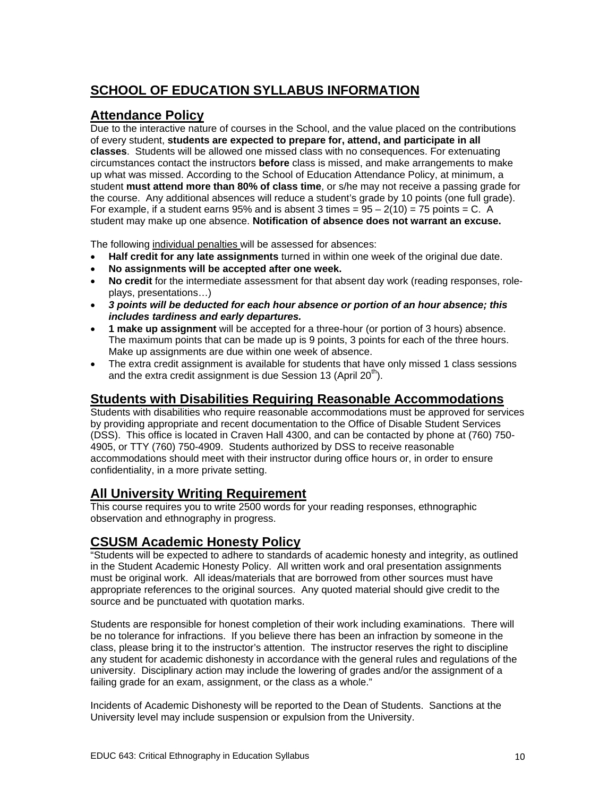# **SCHOOL OF EDUCATION SYLLABUS INFORMATION**

### **Attendance Policy**

Due to the interactive nature of courses in the School, and the value placed on the contributions of every student, **students are expected to prepare for, attend, and participate in all classes**. Students will be allowed one missed class with no consequences. For extenuating circumstances contact the instructors **before** class is missed, and make arrangements to make up what was missed. According to the School of Education Attendance Policy, at minimum, a student **must attend more than 80% of class time**, or s/he may not receive a passing grade for the course. Any additional absences will reduce a student's grade by 10 points (one full grade). For example, if a student earns  $95%$  and is absent 3 times =  $95 - 2(10) = 75$  points = C. A student may make up one absence. **Notification of absence does not warrant an excuse.** 

The following individual penalties will be assessed for absences:

- **Half credit for any late assignments** turned in within one week of the original due date.
- **No assignments will be accepted after one week.**
- **No credit** for the intermediate assessment for that absent day work (reading responses, roleplays, presentations…)
- *3 points will be deducted for each hour absence or portion of an hour absence; this includes tardiness and early departures.*
- **1 make up assignment** will be accepted for a three-hour (or portion of 3 hours) absence. The maximum points that can be made up is 9 points, 3 points for each of the three hours. Make up assignments are due within one week of absence.
- The extra credit assignment is available for students that have only missed 1 class sessions and the extra credit assignment is due Session 13 (April  $20<sup>th</sup>$ ).

#### **Students with Disabilities Requiring Reasonable Accommodations**

Students with disabilities who require reasonable accommodations must be approved for services by providing appropriate and recent documentation to the Office of Disable Student Services (DSS). This office is located in Craven Hall 4300, and can be contacted by phone at (760) 750 4905, or TTY (760) 750-4909. Students authorized by DSS to receive reasonable accommodations should meet with their instructor during office hours or, in order to ensure confidentiality, in a more private setting.

## **All University Writing Requirement**

This course requires you to write 2500 words for your reading responses, ethnographic observation and ethnography in progress.

## **CSUSM Academic Honesty Policy**

"Students will be expected to adhere to standards of academic honesty and integrity, as outlined in the Student Academic Honesty Policy. All written work and oral presentation assignments must be original work. All ideas/materials that are borrowed from other sources must have appropriate references to the original sources. Any quoted material should give credit to the source and be punctuated with quotation marks.

Students are responsible for honest completion of their work including examinations. There will be no tolerance for infractions. If you believe there has been an infraction by someone in the class, please bring it to the instructor's attention. The instructor reserves the right to discipline any student for academic dishonesty in accordance with the general rules and regulations of the university. Disciplinary action may include the lowering of grades and/or the assignment of a failing grade for an exam, assignment, or the class as a whole."

Incidents of Academic Dishonesty will be reported to the Dean of Students. Sanctions at the University level may include suspension or expulsion from the University.